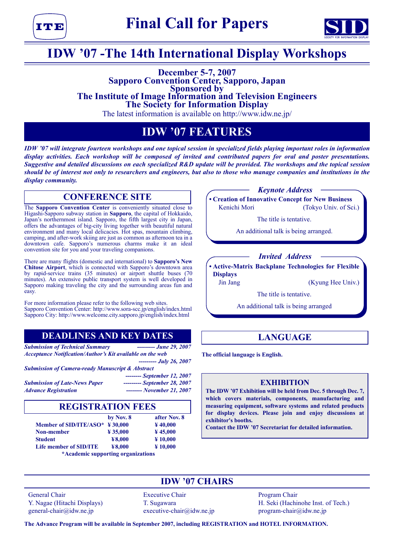тимп



## **IDW '07 -The 14th International Display Workshops**

# **December 5-7, 2007**<br>Sapporo Convention Center, Sapporo, Japan **Sponsored by The Institute of Image Information and Television Engineers**<br>The Society for Information Display

The latest information is available on http://www.idw.ne.jp/

## **IDW '07 FEATURES**

*IDW '07 will integrate fourteen workshops and one topical session in specialized fields playing important roles in information display activities. Each workshop will be composed of invited and contributed papers for oral and poster presentations. Suggestive and detailed discussions on each specialized R&D update will be provided. The workshops and the topical session should be of interest not only to researchers and engineers, but also to those who manage companies and institutions in the display community.*

## **CONFERENCE SITE**

The **Sapporo Convention Center** is conveniently situated close to Higashi-Sapporo subway station in **Sapporo**, the capital of Hokkaido, Japan's northernmost island. Sapporo, the fifth largest city in Japan, offers the advantages of big-city living together with beautiful natural environment and many local delicacies. Hot spas, mountain climbing, camping, and after-work skiing are just as common as afternoon tea in a downtown cafe. Sapporo's numerous charms make it an ideal convention site for you and your traveling companions.

There are many flights (domestic and international) to **Sapporo's New Chitose Airport**, which is connected with Sapporo's downtown area by rapid-service trains (35 minutes) or airport shuttle buses (70 minutes). An extensive public transport system is well developed in Sapporo making traveling the city and the surrounding areas fun and easy.

For more information please refer to the following web sites. Sapporo Convention Center: http://www.sora-scc.jp/english/index.html Sapporo City: http://www.welcome.city.sapporo.jp/english/index.html

## **DEADLINES AND KEY DATES**

*Submission of Technical Summary --------- June 29, 2007 Acceptance Notification/Author's Kit available on the web*

*--------- July 26, 2007*

*Submission of Camera-ready Manuscript & Abstract*

*Submission of Late-News Paper --------- September 28, 2007 Advance Registration -------- November 21, 2007*

*-------- September 12, 2007*

## **REGISTRATION FEES**

|                                                           | by Nov. 8           | after Nov. 8         |
|-----------------------------------------------------------|---------------------|----------------------|
| Member of SID/ITE/ASO* $\frac{1}{2}$ 30,000               |                     | $\frac{1}{2}40,000$  |
| Non-member                                                | $\frac{1}{2}35.000$ | $\frac{1}{2}$ 45,000 |
| <b>Student</b>                                            | ¥8,000              | $*10,000$            |
| Life member of SID/ITE                                    | ¥8,000              | $*10,000$            |
| 그는 그는 그 사람들은 그 사람들을 사랑하고 있다. 그는 사람들은 그 사람들은 어디에 가는 것이 없다. |                     |                      |

**\*Academic supporting organizations**

*Keynote Address*

**• Creation of Innovative Concept for New Business** Kenichi Mori (Tokyo Univ. of Sci.)

The title is tentative.

An additional talk is being arranged.

#### *Invited Address*

**• Active-Matrix Backplane Technologies for Flexible Displays**

Jin Jang (Kyung Hee Univ.)

The title is tentative.

An additional talk is being arranged

## **LANGUAGE**

**The official language is English.**

#### **EXHIBITION**

**The IDW '07 Exhibition will be held from Dec. 5 through Dec. 7, which covers materials, components, manufacturing and measuring equipment, software systems and related products for display devices. Please join and enjoy discussions at exhibitor's booths.**

**Contact the IDW '07 Secretariat for detailed information.**

**IDW '07 CHAIRS** General Chair **Executive Chair** Program Chair

 $general\text{-}chain@idw.$ ne.jp executive-chair $@idw.$ ne.jp program-chair $@idw.$ ne.jp

Y. Nagae (Hitachi Displays) T. Sugawara T. Sugawara H. Seki (Hachinohe Inst. of Tech.)

**The Advance Program will be available in September 2007, including REGISTRATION and HOTEL INFORMATION.**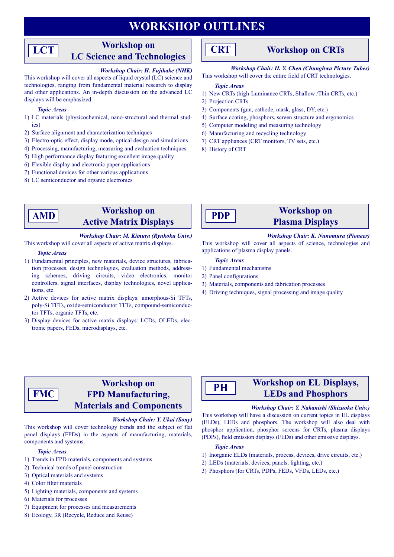## **WORKSHOP OUTLINES**

## **Workshop on LC Science and Technologies**

#### *Workshop Chair: H. Fujikake (NHK)*

This workshop will cover all aspects of liquid crystal (LC) science and technologies, ranging from fundamental material research to display and other applications. An in-depth discussion on the advanced LC displays will be emphasized.

#### *Topic Areas*

**LCT**

- 1) LC materials (physicochemical, nano-structural and thermal studies)
- 2) Surface alignment and characterization techniques
- 3) Electro-optic effect, display mode, optical design and simulations
- 4) Processing, manufacturing, measuring and evaluation techniques
- 5) High performance display featuring excellent image quality
- 6) Flexible display and electronic paper applications
- 7) Functional devices for other various applications
- 8) LC semiconductor and organic electronics

## **Workshop on Active Matrix Displays**

#### *Workshop Chair: M. Kimura (Ryukoku Univ.)*

This workshop will cover all aspects of active matrix displays.

#### *Topic Areas*

**AMD**

- 1) Fundamental principles, new materials, device structures, fabrication processes, design technologies, evaluation methods, addressing schemes, driving circuits, video electronics, monitor controllers, signal interfaces, display technologies, novel applications, etc.
- 2) Active devices for active matrix displays: amorphous-Si TFTs, poly-Si TFTs, oxide-semiconductor TFTs, compound-semiconductor TFTs, organic TFTs, etc.
- 3) Display devices for active matrix displays: LCDs, OLEDs, electronic papers, FEDs, microdisplays, etc.



### **Workshop on CRTs**

*Workshop Chair: H. Y. Chen (Chunghwa Picture Tubes)* This workshop will cover the entire field of CRT technologies.

#### *Topic Areas*

- 1) New CRTs (high-Luminance CRTs, Shallow /Thin CRTs, etc.)
- 2) Projection CRTs
- 3) Components (gun, cathode, mask, glass, DY, etc.)
- 4) Surface coating, phosphors, screen structure and ergonomics
- 5) Computer modeling and measuring technology
- 6) Manufacturing and recycling technology
- 7) CRT appliances (CRT monitors, TV sets, etc.)
- 8) History of CRT



## **Workshop on Plasma Displays**

*Workshop Chair: K. Nunomura (Pioneer)*

This workshop will cover all aspects of science, technologies and applications of plasma display panels.

#### *Topic Areas*

- 1) Fundamental mechanisms
- 2) Panel configurations
- 3) Materials, components and fabrication processes
- 4) Driving techniques, signal processing and image quality

#### **Workshop on FPD Manufacturing, Materials and Components FMC**

#### *Workshop Chair: Y. Ukai (Sony)*

This workshop will cover technology trends and the subject of flat panel displays (FPDs) in the aspects of manufacturing, materials, components and systems.

#### *Topic Areas*

- 1) Trends in FPD materials, components and systems
- 2) Technical trends of panel construction
- 3) Optical materials and systems
- 4) Color filter materials
- 5) Lighting materials, components and systems
- 6) Materials for processes
- 7) Equipment for processes and measurements
- 8) Ecology, 3R (Recycle, Reduce and Reuse)

## **PH**

## **Workshop on EL Displays, LEDs and Phosphors**

#### *Workshop Chair: Y. Nakanishi (Shizuoka Univ.)*

This workshop will have a discussion on current topics in EL displays (ELDs), LEDs and phosphors. The workshop will also deal with phosphor application, phosphor screens for CRTs, plasma displays (PDPs), field emission displays (FEDs) and other emissive displays.

#### *Topic Areas*

- 1) Inorganic ELDs (materials, process, devices, drive circuits, etc.)
- 2) LEDs (materials, devices, panels, lighting, etc.)
- 3) Phosphors (for CRTs, PDPs, FEDs, VFDs, LEDs, etc.)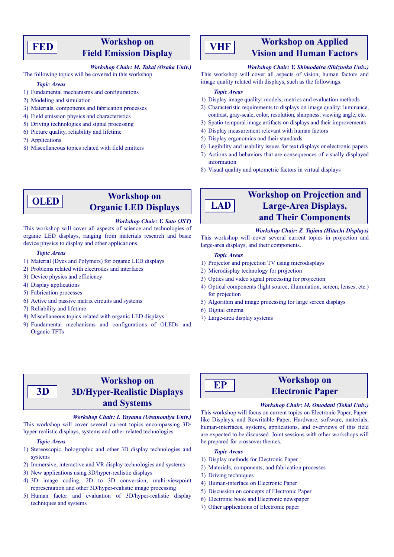## **FED**

## **Workshop on Field Emission Display**

#### *Workshop Chair: M. Takai (Osaka Univ.)*

The following topics will be covered in this workshop.

#### *Topic Areas*

- 1) Fundamental mechanisms and configurations
- 2) Modeling and simulation
- 3) Materials, components and fabrication processes
- 4) Field emission physics and characteristics
- 5) Driving technologies and signal processing
- 6) Picture quality, reliability and lifetime
- 7) Applications
- 8) Miscellaneous topics related with field emitters

## **VHF**

## **Workshop on Applied Vision and Human Factors**

#### *Workshop Chair: Y. Shimodaira (Shizuoka Univ.)*

This workshop will cover all aspects of vision, human factors and image quality related with displays, such as the followings.

#### *Topic Areas*

- 1) Display image quality: models, metrics and evaluation methods
- 2) Characteristic requirements to displays on image quality: luminance, contrast, gray-scale, color, resolution, sharpness, viewing angle, etc.
- 3) Spatio-temporal image artifacts on displays and their improvements
- 4) Display measurement relevant with human factors
- 5) Display ergonomics and their standards
- 6) Legibility and usability issues for text displays or electronic papers
- 7) Actions and behaviors that are consequences of visually displayed information
- 8) Visual quality and optometric factors in virtual displays

#### **Workshop on Organic LED Displays OLED**

#### *Workshop Chair: Y. Sato (JST)*

#### This workshop will cover all aspects of science and technologies of organic LED displays, ranging from materials research and basic device physics to display and other applications.

#### *Topic Areas*

- 1) Material (Dyes and Polymers) for organic LED displays
- 2) Problems related with electrodes and interfaces
- 3) Device physics and efficiency
- 4) Display applications
- 5) Fabrication processes
- 6) Active and passive matrix circuits and systems
- 7) Reliability and lifetime
- 8) Miscellaneous topics related with organic LED displays
- 9) Fundamental mechanisms and configurations of OLEDs and Organic TFTs

## **Workshop on Projection and Large-Area Displays, and Their Components**

*Workshop Chair: Z. Tajima (Hitachi Displays)*

This workshop will cover several current topics in projection and large-area displays, and their components.

#### *Topic Areas*

**LAD**

- 1) Projector and projection TV using microdisplays
- 2) Microdisplay technology for projection
- 3) Optics and video signal processing for projection
- 4) Optical components (light source, illumination, screen, lenses, etc.) for projection
- 5) Algorithm and image processing for large screen displays
- 6) Digital cinema
- 7) Large-area display systems

## **Workshop on 3D/Hyper-Realistic Displays and Systems**

#### *Workshop Chair: I. Yuyama (Utsunomiya Univ.)*

This workshop will cover several current topics encompassing 3D/ hyper-realistic displays, systems and other related technologies.

#### *Topic Areas*

**3D**

- 1) Stereoscopic, holographic and other 3D display technologies and systems
- 2) Immersive, interactive and VR display technologies and systems
- 3) New applications using 3D/hyper-realistic displays
- 4) 3D image coding, 2D to 3D conversion, multi-viewpoint representation and other 3D/hyper-realistic image processing
- 5) Human factor and evaluation of 3D/hyper-realistic display techniques and systems

# **EP**

## **Workshop on Electronic Paper**

#### *Workshop Chair: M. Omodani (Tokai Univ.)*

This workshop will focus on current topics on Electronic Paper, Paperlike Displays, and Rewritable Paper. Hardware, software, materials, human-interfaces, systems, applications, and overviews of this field are expected to be discussed. Joint sessions with other workshops will be prepared for crossover themes.

#### *Topic Areas*

- 1) Display methods for Electronic Paper
- 2) Materials, components, and fabrication processes
- 3) Driving techniques
- 4) Human-interface on Electronic Paper
- 5) Discussion on concepts of Electronic Paper
- 6) Electronic book and Electronic newspaper
- 7) Other applications of Electronic paper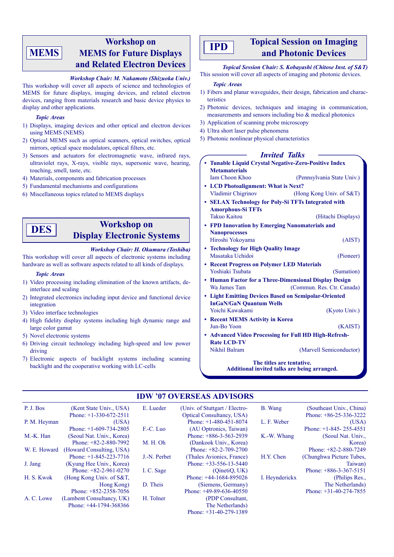## **MEMS**

## **Workshop on MEMS for Future Displays and Related Electron Devices**

#### *Workshop Chair: M. Nakamoto (Shizuoka Univ.)*

This workshop will cover all aspects of science and technologies of MEMS for future displays, imaging devices, and related electron devices, ranging from materials research and basic device physics to display and other applications.

#### *Topic Areas*

- 1) Displays, imaging devices and other optical and electron devices using MEMS (NEMS)
- 2) Optical MEMS such as optical scanners, optical switches, optical mirrors, optical space modulators, optical filters, etc.
- 3) Sensors and actuators for electromagnetic wave, infrared rays, ultraviolet rays, X-rays, visible rays, supersonic wave, hearing, touching, smell, taste, etc.
- 4) Materials, components and fabrication processes
- 5) Fundamental mechanisms and configurations
- 6) Miscellaneous topics related to MEMS displays

## **Workshop on Display Electronic Systems**

#### *Workshop Chair: H. Okumura (Toshiba)*

This workshop will cover all aspects of electronic systems including hardware as well as software aspects related to all kinds of displays.

#### *Topic Areas*

**DES**

- 1) Video processing including elimination of the known artifacts, deinterlace and scaling
- 2) Integrated electronics including input device and functional device integration
- 3) Video interface technologies
- 4) High fidelity display systems including high dynamic range and large color gamut
- 5) Novel electronic systems
- 6) Driving circuit technology including high-speed and low power driving
- 7) Electronic aspects of backlight systems including scanning backlight and the cooperative working with LC-cells

### **Topical Session on Imaging and Photonic Devices IPD**

*Topical Session Chair: S. Kobayashi (Chitose Inst. of S&T)* This session will cover all aspects of imaging and photonic devices.

#### *Topic Areas*

- 1) Fibers and planar waveguides, their design, fabrication and characteristics
- 2) Photonic devices, techniques and imaging in communication, measurements and sensors including bio & medical photonics
- 3) Application of scanning probe microscopy
- 4) Ultra short laser pulse phenomena
- 5) Photonic nonlinear physical characteristics

#### *Invited Talks*

**• Tunable Liquid Crystal Negative-Zero-Positive Index Metamaterials** Iam Choon Khoo (Pennsylvania State Univ.) **• LCD Photoalignment: What is Next?** Vladimir Chigrinov (Hong Kong Univ. of S&T) **• SELAX Technology for Poly-Si TFTs Integrated with Amorphous-Si TFTs** Takuo Kaitou (Hitachi Displays) **• FPD Innovation by Emerging Nanomaterials and Nanoprocesses** Hiroshi Yokoyama (AIST) **• Technology for High Quality Image** Masataka Uchidoi (Pioneer) **• Recent Progress on Polymer LED Materials** Yoshiaki Tsubata (Sumation) **• Human Factor for a Three-Dimensional Display Design** Wa James Tam (Commun. Res. Ctr. Canada) **• Light Emitting Devices Based on Semipolar-Oriented InGaN/GaN Quantum Wells** Yoichi Kawakami (Kyoto Univ.) **• Recent MEMS Activity in Korea** Jun-Bo Yoon (KAIST) **• Advanced Video Processing for Full HD High-Refresh-Rate LCD-TV** Nikhil Balram (Marvell Semiconductor)

**The titles are tentative. Additional invited talks are being arranged.**

#### **IDW '07 OVERSEAS ADVISORS**

| P. J. Bos    | (Kent State Univ., USA)     | E. Lueder    | (Univ. of Stuttgart / Electro-   | B. Wang        | (Southeast Univ., China) |
|--------------|-----------------------------|--------------|----------------------------------|----------------|--------------------------|
|              | Phone: $+1-330-672-2511$    |              | <b>Optical Consultancy, USA)</b> |                | Phone: $+86-25-336-3222$ |
| P. M. Heyman | (USA)                       |              | Phone: $+1-480-451-8074$         | L. F. Weber    | (USA)                    |
|              | Phone: $+1-609-734-2805$    | F.-C. Luo    | (AU Optronics, Taiwan)           |                | Phone: $+1-845-255-4551$ |
| M.-K. Han    | (Seoul Nat. Univ., Korea)   |              | Phone: $+886-3-563-2939$         | K.-W. Whang    | (Seoul Nat. Univ.,       |
|              | Phone: $+82-2-880-7992$     | M. H. Oh     | (Dankook Univ., Korea)           |                | Korea)                   |
| W. E. Howard | (Howard Consulting, USA)    |              | Phone: $+82-2-709-2700$          |                | Phone: $+82-2-880-7249$  |
|              | Phone: $+1-845-223-7716$    | J.-N. Perbet | (Thales Avionics, France)        | H.Y. Chen      | (Chunghwa Picture Tubes, |
| J. Jang      | (Kyung Hee Univ., Korea)    |              | Phone: $+33-556-13-5440$         |                | Taiwan)                  |
|              | Phone: $+82-2-961-0270$     | I. C. Sage   | (OinetiO, UK)                    |                | Phone: $+886-3-367-5151$ |
| H. S. Kwok   | (Hong Kong Univ. of $S&T$ , |              | Phone: $+44-1684-895026$         | I. Heynderickx | (Philips Res.,           |
|              | Hong Kong)                  | D. Theis     | (Siemens, Germany)               |                | The Netherlands)         |
|              | Phone: $+852-2358-7056$     |              | Phone: $+49-89-636-40550$        |                | Phone: $+31-40-274-7855$ |
| A. C. Lowe   | (Lambent Consultancy, UK)   | H. Tolner    | (PDP Consultant,                 |                |                          |
|              | Phone: $+44-1794-368366$    |              | The Netherlands)                 |                |                          |
|              |                             |              | Phone: $+31-40-279-1389$         |                |                          |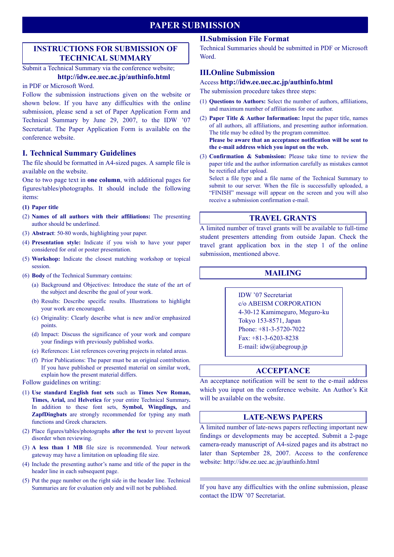## **PAPER SUBMISSION**

### **INSTRUCTIONS FOR SUBMISSION OF TECHNICAL SUMMARY**

#### Submit a Technical Summary via the conference website; **http://idw.ee.uec.ac.jp/authinfo.html**

#### in PDF or Microsoft Word.

Follow the submission instructions given on the website or shown below. If you have any difficulties with the online submission, please send a set of Paper Application Form and Technical Summary by June 29, 2007, to the IDW '07 Secretariat. The Paper Application Form is available on the conference website.

#### **I. Technical Summary Guidelines**

The file should be formatted in A4-sized pages. A sample file is available on the website.

One to two page text in **one column**, with additional pages for figures/tables/photographs. It should include the following items:

#### **(1) Paper title**

- (2) **Names of all authors with their affiliations:** The presenting author should be underlined.
- (3) **Abstract**: 50-80 words, highlighting your paper.
- (4) **Presentation style:** Indicate if you wish to have your paper considered for oral or poster presentation.
- (5) **Workshop:** Indicate the closest matching workshop or topical session.
- (6) **Body** of the Technical Summary contains:
	- (a) Background and Objectives: Introduce the state of the art of the subject and describe the goal of your work.
	- (b) Results: Describe specific results. Illustrations to highlight your work are encouraged.
	- (c) Originality: Clearly describe what is new and/or emphasized points.
	- (d) Impact: Discuss the significance of your work and compare your findings with previously published works.
	- (e) References: List references covering projects in related areas.
	- (f) Prior Publications: The paper must be an original contribution. If you have published or presented material on similar work, explain how the present material differs.

#### Follow guidelines on writing:

- (1) **Use standard English font sets** such as **Times New Roman, Times, Arial,** and **Helvetica** for your entire Technical Summary**.** In addition to these font sets, **Symbol, Wingdings,** and **ZapfDingbats** are strongly recommended for typing any math functions and Greek characters.
- (2) Place figures/tables/photographs **after the text** to prevent layout disorder when reviewing.
- (3) **A less than 1 MB** file size is recommended. Your network gateway may have a limitation on uploading file size.
- (4) Include the presenting author's name and title of the paper in the header line in each subsequent page.
- (5) Put the page number on the right side in the header line. Technical Summaries are for evaluation only and will not be published.

### **II.Submission File Format**

Technical Summaries should be submitted in PDF or Microsoft Word.

#### **III.Online Submission**

#### Access **http://idw.ee.uec.ac.jp/authinfo.html**

The submission procedure takes three steps:

- (1) **Questions to Authors:** Select the number of authors, affiliations, and maximum number of affiliations for one author.
- (2) **Paper Title & Author Information:** Input the paper title, names of all authors, all affiliations, and presenting author information. The title may be edited by the program committee. **Please be aware that an acceptance notification will be sent to the e-mail address which you input on the web.**
- (3) **Confirmation & Submission:** Please take time to review the paper title and the author information carefully as mistakes cannot be rectified after upload.

Select a file type and a file name of the Technical Summary to submit to our server. When the file is successfully uploaded, a "FINISH" message will appear on the screen and you will also receive a submission confirmation e-mail.

#### **TRAVEL GRANTS**

A limited number of travel grants will be available to full-time student presenters attending from outside Japan. Check the travel grant application box in the step 1 of the online submission, mentioned above.

#### **MAILING**

IDW '07 Secretariat c/o ABEISM CORPORATION 4-30-12 Kamimeguro, Meguro-ku Tokyo 153-8571, Japan Phone: +81-3-5720-7022 Fax: +81-3-6203-8238 E-mail: idw@abegroup.jp

#### **ACCEPTANCE**

An acceptance notification will be sent to the e-mail address which you input on the conference website. An Author's Kit will be available on the website.

#### **LATE-NEWS PAPERS**

A limited number of late-news papers reflecting important new findings or developments may be accepted. Submit a 2-page camera-ready manuscript of A4-sized pages and its abstract no later than September 28, 2007. Access to the conference website: http://idw.ee.uec.ac.jp/authinfo.html

If you have any difficulties with the online submission, please contact the IDW '07 Secretariat.